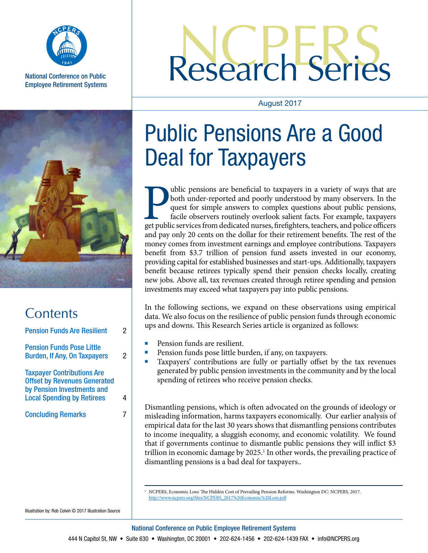

National Conference on Public Employee Retirement Systems

# Research Series

#### August 2017



| Contents                                                                                                                                    |   |
|---------------------------------------------------------------------------------------------------------------------------------------------|---|
| <b>Pension Funds Are Resilient</b>                                                                                                          | 2 |
| <b>Pension Funds Pose Little</b><br><b>Burden, If Any, On Taxpayers</b>                                                                     | 2 |
| <b>Taxpayer Contributions Are</b><br><b>Offset by Revenues Generated</b><br>by Pension Investments and<br><b>Local Spending by Retirees</b> | 4 |
| <b>Concluding Remarks</b>                                                                                                                   |   |

## Public Pensions Are a Good Deal for Taxpayers

ublic pensions are beneficial to taxpayers in a variety of ways that are both under-reported and poorly understood by many observers. In the quest for simple answers to complex questions about public pensions, facile observers routinely overlook salient facts. For example, taxpayers get public services from dedicated nurses, firefighters, teachers, and police officers and pay only 20 cents on the dollar for their retirement benefits. The rest of the money comes from investment earnings and employee contributions. Taxpayers benefit from \$3.7 trillion of pension fund assets invested in our economy, providing capital for established businesses and start-ups. Additionally, taxpayers benefit because retirees typically spend their pension checks locally, creating new jobs. Above all, tax revenues created through retiree spending and pension investments may exceed what taxpayers pay into public pensions.

In the following sections, we expand on these observations using empirical data. We also focus on the resilience of public pension funds through economic ups and downs. This Research Series article is organized as follows:

- 
- 
- Pension funds are resilient.<br>Pension funds pose little burden, if any, on taxpayers.<br>Taxpayers' contributions are fully or partially offset by the tax revenues generated by public pension investments in the community and by the local spending of retirees who receive pension checks.

Dismantling pensions, which is often advocated on the grounds of ideology or misleading information, harms taxpayers economically. Our earlier analysis of empirical data for the last 30 years shows that dismantling pensions contributes to income inequality, a sluggish economy, and economic volatility. We found that if governments continue to dismantle public pensions they will inflict \$3 trillion in economic damage by 2025.<sup>1</sup> In other words, the prevailing practice of dismantling pensions is a bad deal for taxpayers..

<sup>1</sup> NCPERS, Economic Loss: The Hidden Cost of Prevailing Pension Reforms. Washington DC: NCPERS, 2017. http://www.ncpers.org/files/NCPERS\_2017%20Economic%20Loss.pdf

Illustration by: Rob Colvin © 2017 Illustration Source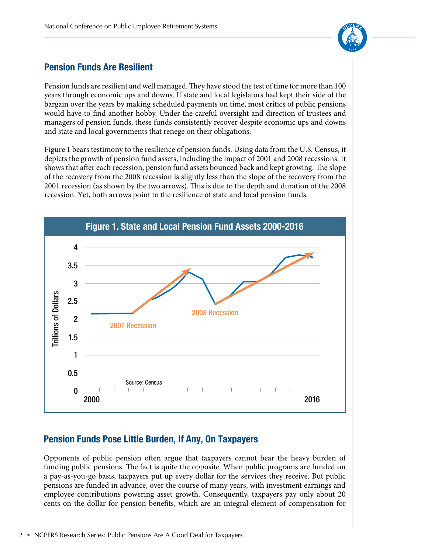

### **Pension Funds Are Resilient**

Pension funds are resilient and well managed. They have stood the test of time for more than 100 years through economic ups and downs. If state and local legislators had kept their side of the bargain over the years by making scheduled payments on time, most critics of public pensions would have to find another hobby. Under the careful oversight and direction of trustees and managers of pension funds, these funds consistently recover despite economic ups and downs and state and local governments that renege on their obligations.

Figure 1 bears testimony to the resilience of pension funds. Using data from the U.S. Census, it depicts the growth of pension fund assets, including the impact of 2001 and 2008 recessions. It shows that after each recession, pension fund assets bounced back and kept growing. The slope of the recovery from the 2008 recession is slightly less than the slope of the recovery from the 2001 recession (as shown by the two arrows). This is due to the depth and duration of the 2008 recession. Yet, both arrows point to the resilience of state and local pension funds.



#### **Pension Funds Pose Little Burden, If Any, On Taxpayers**

Opponents of public pension often argue that taxpayers cannot bear the heavy burden of funding public pensions. The fact is quite the opposite. When public programs are funded on a pay-as-you-go basis, taxpayers put up every dollar for the services they receive. But public pensions are funded in advance, over the course of many years, with investment earnings and employee contributions powering asset growth. Consequently, taxpayers pay only about 20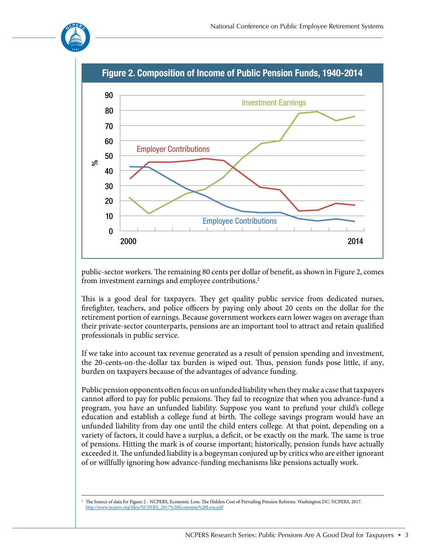



public-sector workers. The remaining 80 cents per dollar of benefit, as shown in Figure 2, comes from investment earnings and employee contributions.<sup>2</sup>

This is a good deal for taxpayers. They get quality public service from dedicated nurses, firefighter, teachers, and police officers by paying only about 20 cents on the dollar for the retirement portion of earnings. Because government workers earn lower wages on average than their private-sector counterparts, pensions are an important tool to attract and retain qualified professionals in public service.

If we take into account tax revenue generated as a result of pension spending and investment, the 20-cents-on-the-dollar tax burden is wiped out. Thus, pension funds pose little, if any, burden on taxpayers because of the advantages of advance funding.

Public pension opponents often focus on unfunded liability when they make a case that taxpayers cannot afford to pay for public pensions. They fail to recognize that when you advance-fund a program, you have an unfunded liability. Suppose you want to prefund your child's college education and establish a college fund at birth. The college savings program would have an unfunded liability from day one until the child enters college. At that point, depending on a variety of factors, it could have a surplus, a deficit, or be exactly on the mark. The same is true of pensions. Hitting the mark is of course important; historically, pension funds have actually exceeded it. The unfunded liability is a bogeyman conjured up by critics who are either ignorant of or willfully ignoring how advance-funding mechanisms like pensions actually work.

<sup>2</sup> The Source of data for Figure 2 - NCPERS, Economic Loss: The Hidden Cost of Prevailing Pension Reforms. Washington DC: NCPERS, 2017. http://www.ncpers.org/files/NCPERS\_2017%20Economic%20Loss.pdf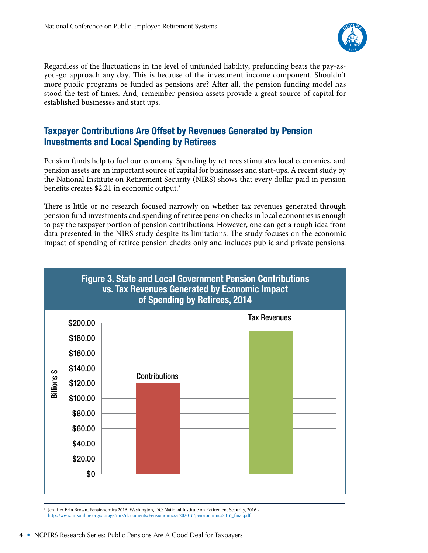

Regardless of the fluctuations in the level of unfunded liability, prefunding beats the pay-asyou-go approach any day. This is because of the investment income component. Shouldn't more public programs be funded as pensions are? After all, the pension funding model has stood the test of times. And, remember pension assets provide a great source of capital for established businesses and start ups.

#### **Taxpayer Contributions Are Offset by Revenues Generated by Pension Investments and Local Spending by Retirees**

Pension funds help to fuel our economy. Spending by retirees stimulates local economies, and pension assets are an important source of capital for businesses and start-ups. A recent study by the National Institute on Retirement Security (NIRS) shows that every dollar paid in pension benefits creates \$2.21 in economic output.<sup>3</sup>

There is little or no research focused narrowly on whether tax revenues generated through pension fund investments and spending of retiree pension checks in local economies is enough to pay the taxpayer portion of pension contributions. However, one can get a rough idea from data presented in the NIRS study despite its limitations. The study focuses on the economic impact of spending of retiree pension checks only and includes public and private pensions.



http://www.nirsonline.org/storage/nirs/documents/Pensionomics%202016/pensionomics2016\_final.pdf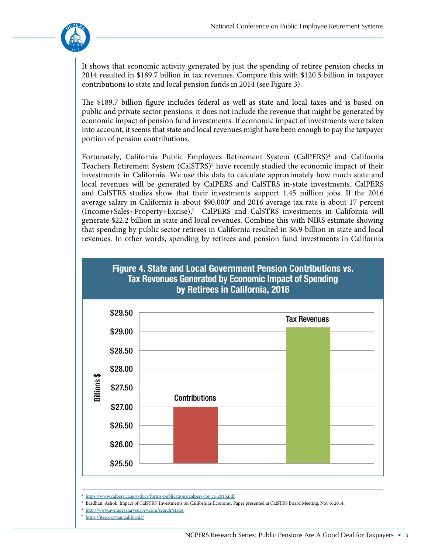

It shows that economic activity generated by just the spending of retiree pension checks in 2014 resulted in \$189.7 billion in tax revenues. Compare this with \$120.5 billion in taxpayer contributions to state and local pension funds in 2014 (see Figure 3).

The \$189.7 billion figure includes federal as well as state and local taxes and is based on public and private sector pensions: it does not include the revenue that might be generated by economic impact of pension fund investments. If economic impact of investments were taken into account, it seems that state and local revenues might have been enough to pay the taxpayer portion of pension contributions.

Fortunately, California Public Employees Retirement System (CalPERS)<sup>4</sup> and California Teachers Retirement System (CalSTRS)<sup>5</sup> have recently studied the economic impact of their investments in California. We use this data to calculate approximately how much state and local revenues will be generated by CalPERS and CalSTRS in-state investments. CalPERS and CalSTRS studies show that their investments support 1.45 million jobs. If the 2016 average salary in California is about \$90,000<sup>6</sup> and 2016 average tax rate is about 17 percent (Income+Sales+Property+Excise),7 CalPERS and CalSTRS investments in California will generate \$22.2 billion in state and local revenues. Combine this with NIRS estimate showing that spending by public sector retirees in California resulted in \$6.9 billion in state and local revenues. In other words, spending by retirees and pension fund investments in California



<sup>4</sup> https://www.calpers.ca.gov/docs/forms-publications/calpers-for-ca-2016.pdf

<sup>5</sup> Bardhan, Ashok, Impact of CalSTRS' Investments on California's Economy, Paper presented at CalSTRS Board Meeting, Nov 6, 2014.

- <sup>6</sup> http://www.averagesalarysurvey.com/search/states
- <sup>7</sup> https://itep.org/tag/california/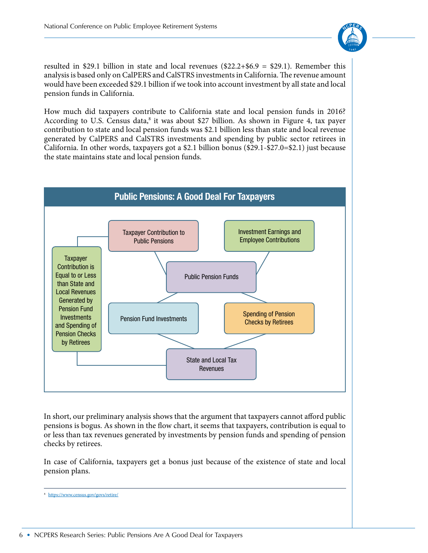

resulted in \$29.1 billion in state and local revenues  $(\$22.2+\$6.9 = \$29.1)$ . Remember this analysis is based only on CalPERS and CalSTRS investments in California. The revenue amount would have been exceeded \$29.1 billion if we took into account investment by all state and local pension funds in California.

How much did taxpayers contribute to California state and local pension funds in 2016? According to U.S. Census data,<sup>8</sup> it was about \$27 billion. As shown in Figure 4, tax payer contribution to state and local pension funds was \$2.1 billion less than state and local revenue generated by CalPERS and CalSTRS investments and spending by public sector retirees in California. In other words, taxpayers got a \$2.1 billion bonus (\$29.1-\$27.0=\$2.1) just because the state maintains state and local pension funds.



In short, our preliminary analysis shows that the argument that taxpayers cannot afford public pensions is bogus. As shown in the flow chart, it seems that taxpayers, contribution is equal to or less than tax revenues generated by investments by pension funds and spending of pension checks by retirees.

In case of California, taxpayers get a bonus just because of the existence of state and local pension plans.

<sup>8</sup> https://www.census.gov/govs/retire/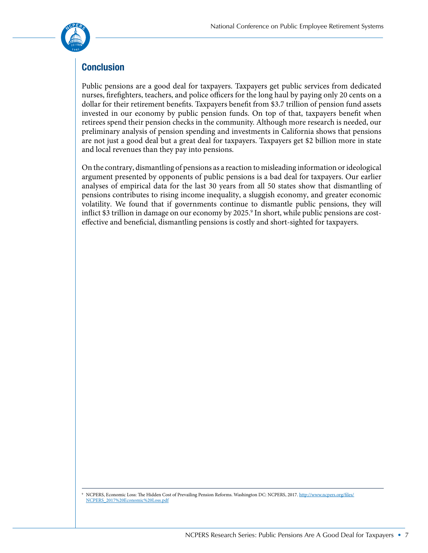

### **Conclusion**

Public pensions are a good deal for taxpayers. Taxpayers get public services from dedicated nurses, firefighters, teachers, and police officers for the long haul by paying only 20 cents on a dollar for their retirement benefits. Taxpayers benefit from \$3.7 trillion of pension fund assets invested in our economy by public pension funds. On top of that, taxpayers benefit when retirees spend their pension checks in the community. Although more research is needed, our preliminary analysis of pension spending and investments in California shows that pensions are not just a good deal but a great deal for taxpayers. Taxpayers get \$2 billion more in state and local revenues than they pay into pensions.

On the contrary, dismantling of pensions as a reaction to misleading information or ideological argument presented by opponents of public pensions is a bad deal for taxpayers. Our earlier analyses of empirical data for the last 30 years from all 50 states show that dismantling of pensions contributes to rising income inequality, a sluggish economy, and greater economic volatility. We found that if governments continue to dismantle public pensions, they will inflict \$3 trillion in damage on our economy by 2025. $^{\rm 9}$  In short, while public pensions are costeffective and beneficial, dismantling pensions is costly and short-sighted for taxpayers.

<sup>9</sup> NCPERS, Economic Loss: The Hidden Cost of Prevailing Pension Reforms. Washington DC: NCPERS, 2017. http://www.ncpers.org/files/ NCPERS\_2017%20Economic%20Loss.pdf